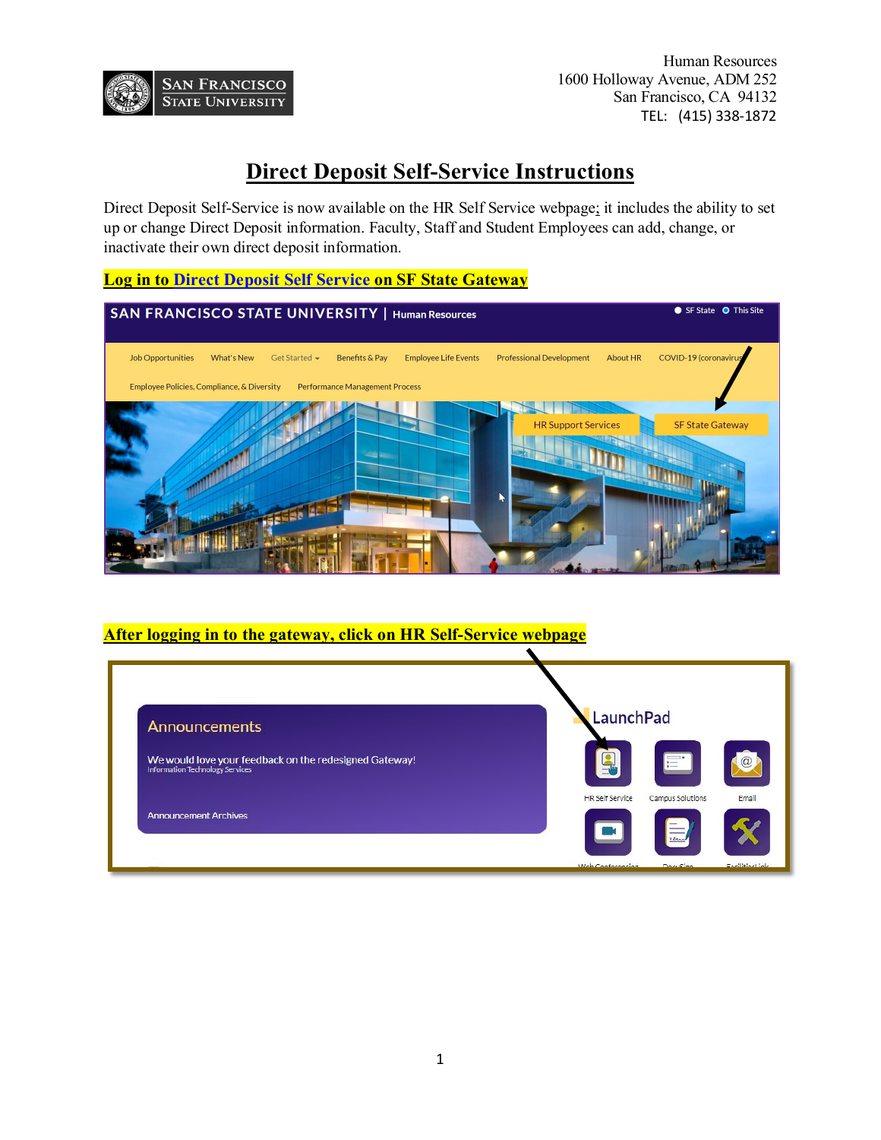

Human Resources 1600 Holloway Avenue, ADM 252 San Francisco, CA 94132 TEL: (415) 338-1872

# **Direct Deposit Self-Service Instructions**

Direct Deposit Self-Service is now available on the HR Self Service webpage; it includes the ability to set up or change Direct Deposit information. Faculty, Staff and Student Employees can add, change, or inactivate their own direct deposit information.

## **Log in to [Direct Deposit Self Service](https://cmshr.sfsu.edu/psp/HSFPRDS/EMPLOYEE/HRMS/c/ROLE_EMPLOYEE.PY_IC_DIR_DEP.GBL?FolderPath=PORTAL_ROOT_OBJECT.SF_SS_EMPL_PERS_INFO.DIRECT_DEPOSIT&IsFolder=false&IgnoreParamTempl=FolderPath%2cIsFolder) on SF State Gateway**

| SAN FRANCISCO STATE UNIVERSITY   Human Resources                                                         | SF State O This Site                                                 |
|----------------------------------------------------------------------------------------------------------|----------------------------------------------------------------------|
| <b>Job Opportunities</b><br>Get Started •<br>Benefits & Pay<br><b>Employee Life Events</b><br>What's New | COVID-19 (coronavirus<br>About HR<br><b>Professional Development</b> |
| Employee Policies, Compliance, & Diversity<br><b>Performance Management Process</b>                      |                                                                      |
|                                                                                                          | <b>HR Support Services</b><br><b>SF State Gateway</b>                |
|                                                                                                          |                                                                      |

#### **After logging in to the gateway, click on HR Self-Service webpage**

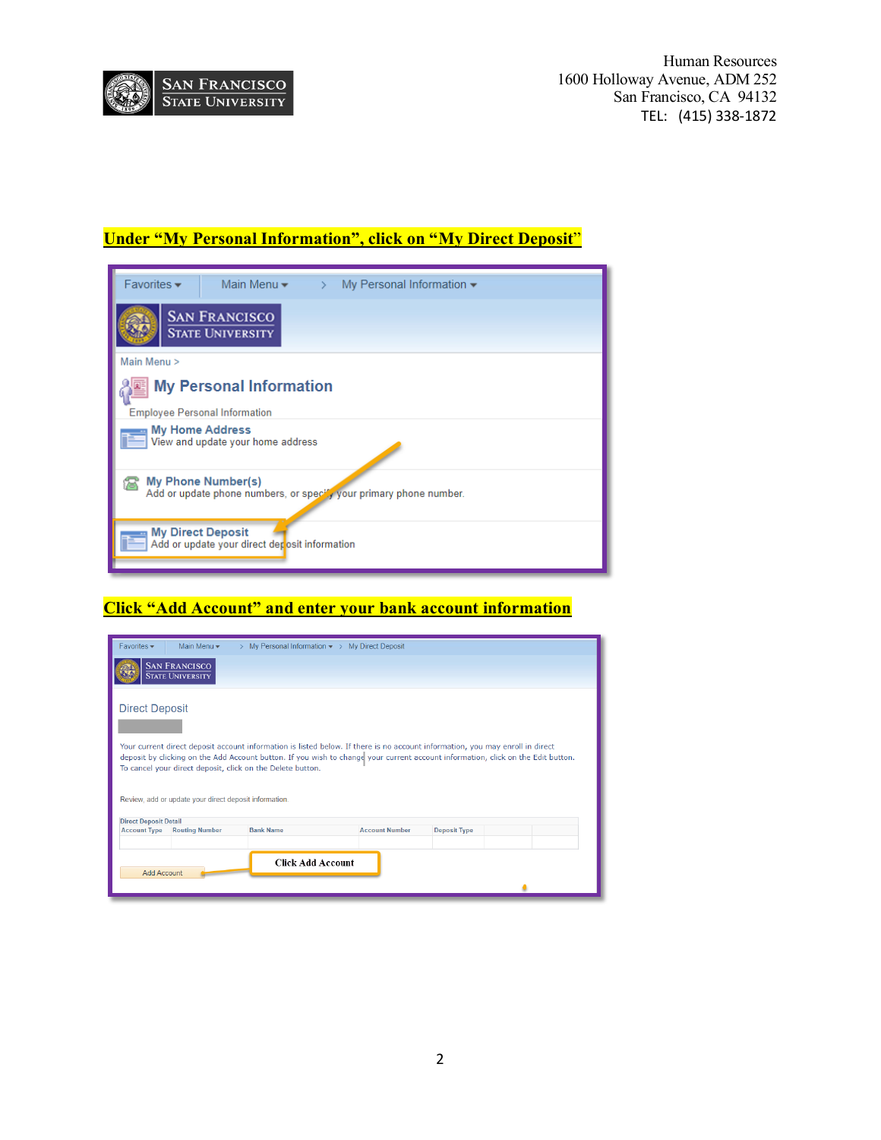

## **Under "My Personal Information", click on "My Direct Deposit**"

| $Favorites -$                                                                                   | Main Menu $\blacktriangledown$                                            |  | $\rightarrow$ My Personal Information $\rightarrow$ |  |
|-------------------------------------------------------------------------------------------------|---------------------------------------------------------------------------|--|-----------------------------------------------------|--|
| <b>SAN FRANCISCO</b><br><b>STATE UNIVERSITY</b>                                                 |                                                                           |  |                                                     |  |
| Main Menu >                                                                                     |                                                                           |  |                                                     |  |
| <b>My Personal Information</b><br><b>Employee Personal Information</b>                          |                                                                           |  |                                                     |  |
|                                                                                                 | <b>My Home Address</b><br>View and update your home address               |  |                                                     |  |
| <b>My Phone Number(s)</b><br>Add or update phone numbers, or specify your primary phone number. |                                                                           |  |                                                     |  |
|                                                                                                 | <b>My Direct Deposit</b><br>Add or update your direct deposit information |  |                                                     |  |

# **Click "Add Account" and enter your bank account information**

| <b>SAN FRANCISCO</b><br><b>STATE UNIVERSITY</b><br><b>Direct Deposit</b><br>Your current direct deposit account information is listed below. If there is no account information, you may enroll in direct<br>deposit by clicking on the Add Account button. If you wish to change your current account information, click on the Edit button.<br>To cancel your direct deposit, click on the Delete button.<br>Review, add or update your direct deposit information.<br><b>Direct Deposit Detail</b><br><b>Account Type</b><br><b>Bank Name</b><br><b>Account Number</b><br><b>Routing Number</b><br><b>Deposit Type</b><br><b>Click Add Account</b><br><b>Add Account</b> | Favorites $\star$<br>Main Menu -<br>My Personal Information $\star$ > My Direct Deposit |  |  |  |  |  |
|-----------------------------------------------------------------------------------------------------------------------------------------------------------------------------------------------------------------------------------------------------------------------------------------------------------------------------------------------------------------------------------------------------------------------------------------------------------------------------------------------------------------------------------------------------------------------------------------------------------------------------------------------------------------------------|-----------------------------------------------------------------------------------------|--|--|--|--|--|
|                                                                                                                                                                                                                                                                                                                                                                                                                                                                                                                                                                                                                                                                             |                                                                                         |  |  |  |  |  |
|                                                                                                                                                                                                                                                                                                                                                                                                                                                                                                                                                                                                                                                                             |                                                                                         |  |  |  |  |  |
|                                                                                                                                                                                                                                                                                                                                                                                                                                                                                                                                                                                                                                                                             |                                                                                         |  |  |  |  |  |
|                                                                                                                                                                                                                                                                                                                                                                                                                                                                                                                                                                                                                                                                             |                                                                                         |  |  |  |  |  |
|                                                                                                                                                                                                                                                                                                                                                                                                                                                                                                                                                                                                                                                                             |                                                                                         |  |  |  |  |  |
|                                                                                                                                                                                                                                                                                                                                                                                                                                                                                                                                                                                                                                                                             |                                                                                         |  |  |  |  |  |
|                                                                                                                                                                                                                                                                                                                                                                                                                                                                                                                                                                                                                                                                             |                                                                                         |  |  |  |  |  |
|                                                                                                                                                                                                                                                                                                                                                                                                                                                                                                                                                                                                                                                                             |                                                                                         |  |  |  |  |  |
|                                                                                                                                                                                                                                                                                                                                                                                                                                                                                                                                                                                                                                                                             |                                                                                         |  |  |  |  |  |